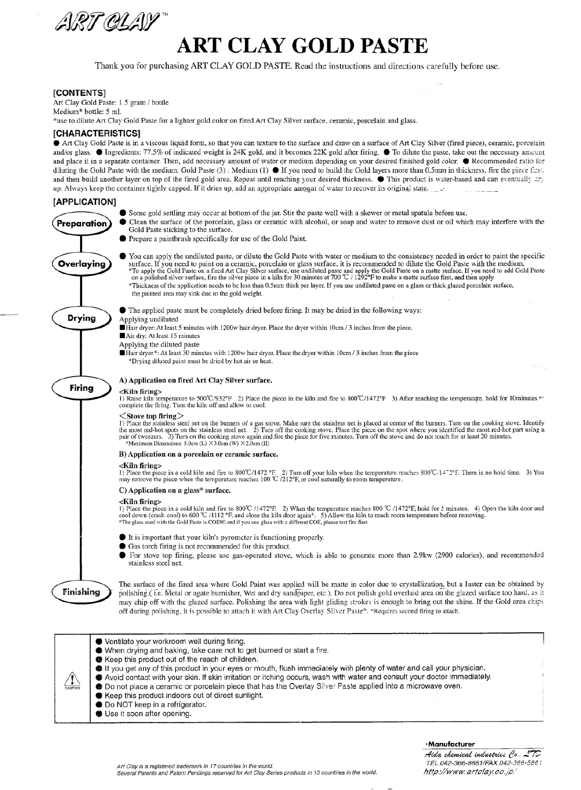

# **ART CLAY GOLD PASTE**

Thank you for purchasing ART CLAY GOLD PASTE. Read the instructions and directions carefully before use.

# **[CONTENTS]**

Art Clay Gold Paste: 1.5 gram / bottle Medium\* bottle: 5 ml.

\*use to dilute Art Clay Gold Paste for a lighter gold color on fired Art Clay Silver surface, ceramic, porcelain and glass.

## [CHARACTERISTICS]

Art Clay Gold Paste is in a viscous liquid form, so that you can texture to the surface and draw on a surface of Art Clay Silver (fired piece), ceramic, porcelain and/or glass. ● Ingredients: 77.5% of indicated weight is 24K gold, and it becomes 22K gold after firing. ● To dilute the paste, take out the necessary amount and place it in a separate container. Then, add necessary amount of water or medium depending on your desired finished gold color.  $\bullet$  Recommended ratio for diluting the Gold Paste with the medium: Gold Paste (3) : Medium (1) ● If you need to build the Gold layers more than 0.5mm in thickness, fire the piece first. and then build another layer on top of the fired gold area. Repeat until reaching your desired thickness. This product is water-based and can eventually any up. Always keep the container tightly capped. If it dries up, add an appropriate amount of water to recover its original state.

# [APPLICATION]

Preparation

Overlaying

**Drying** 

Finishing

 $\sqrt{1}$ 

- Some gold settling may occur at bottom of the jar. Stir the paste well with a skewer or metal spatula before use.
- $\bullet$ Clean the surface of the porcelain, glass or ceramic with alcohol, or soap and water to remove dust or oil which may interfere with the Gold Paste sticking to the surface.
	- Prepare a paintbrush specifically for use of the Gold Paint.
- You can apply the undiluted paste, or dilute the Gold Paste with water or medium to the consistency needed in order to paint the specific A CONSTRAINED TO A CHARGE THE SURVEY OF SURVEY OF SURVEY AND RELEASE AND RELEASE AND THE COLLECT OF THE SPECIFIC THE SPECIFIC TO THE COLLECT THE SPECIFIC TO THE COLLECT TO THE COLLECT TO THE SPECIFIC TO THE COLLECT TO THE \*Thickness of the application needs to be less than 0.5mm thick per layer. If you use undiluted paste on a glass or thick glazed porcelain surface, the painted area may sink due to the gold weight.

• The applied paste must be completely dried before firing. It may be dried in the following ways:

Applying undiluted

Hair dryer: At least 5 minutes with 1200w hair dryer. Place the dryer within 10cm / 3 inches from the piece.

Air dry: At least 15 minutes

#### Applying the diluted paste

Hair dryer\*: At least 30 minutes with 1200w hair dryer. Place the dryer within 10cm / 3 inches from the piece \*Drying diluted paint must be dried by hot air or heat.



## A) Application on fired Art Clay Silver surface.

<**Kiln firing>**<br>1) Raise kiln temperature to 500°C/932°F 2) Place the piece in the kiln and fire to 800°C/1472°F 3) After reaching the temperature, hold for 10minutes to complete the firing. Turn the kiln off and allow to cool.

# $<$ Stove top firing $>$

To Place the stainless steel net on the burners of a gas stove. Make sure the stainless net is placed at center of the burners. Turn on the cooking stove. Identify the most red-hot spots on the stainless steel net. 2) Tur

#### B) Application on a porcelain or ceramic surface.

### <Kiln firing>

There is no hold time. 3) You may remove the piece when the temperature reaches  $800^{\circ}C/1472^{\circ}F$ . There is no hold time. 3) You may remove the piece when the temperature reaches  $100^{\circ}C/122^{\circ}F$ , or cool naturally

#### C) Application on a glass\* surface.

#### <Kiln firing>

The Piece in a cold kiln and fire to 800°C /1472°F. 2) When the temperature reaches 800°C /1472°F, hold for 5 minutes. 4) Open the kiln door and cool down (crash-cool) to 600 °C /1112 °F, and close the kiln door again\*. 5

- It is important that your kiln's pyrometer is functioning properly.
- Gas torch firing is not recommended for this product.
- For stove top firing, please use gas-operated stove, which is able to generate more than 2.9kw (2900 calories), and recommended stainless steel net.

The surface of the fired area where Gold Paint was applied will be matte in color due to crystallization, but a luster can be obtained by polishing.(i.e. Metal or agate burnisher, Wet and dry sandpaper, etc.). Do not polish gold overlaid area on the glazed surface too hard, as it may chip off with the glazed surface. Polishing the area with light gliding strokes is enough to bring out the shine. If the Gold area chips off during polishing, it is possible to attach it with Art Clay Overlay Silver Paste\*. \*Requires second firing to attach

● Ventilate your workroom well during firing. ● When drying and baking, take care not to get burned or start a fire. Keep this product out of the reach of children.

- If you get any of this product in your eyes or mouth, flush immediately with plenty of water and call your physician. Avoid contact with your skin. If skin irritation or itching occurs, wash with water and consult your doctor immediately.
- **O** Do not place a ceramic or porcelain piece that has the Overlay Silver Paste applied into a microwave oven.
- Keep this product indoors out of direct sunlight.
- **O** Do NOT keep in a refrigerator.
- Use it soon after opening.

#### · Manufacturer

Aida chemical industries Co. 170. TEL.042-366-8661/FAX.042-366-5861 http://www.artclay.co.jp/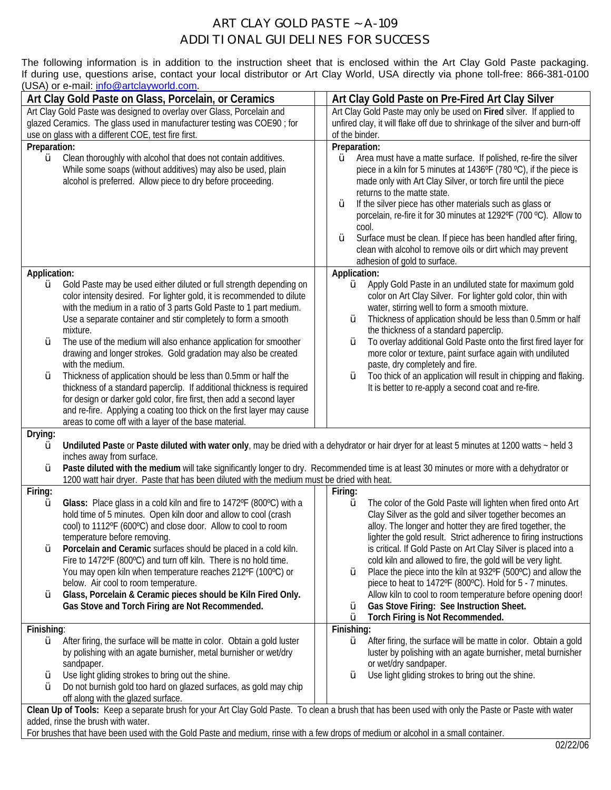# ART CLAY GOLD PASTE ~ A-109 ADDITIONAL GUIDELINES FOR SUCCESS

The following information is in addition to the instruction sheet that is enclosed within the Art Clay Gold Paste packaging. If during use, questions arise, contact your local distributor or Art Clay World, USA directly via phone toll-free: 866-381-0100 (USA) or e-mail: [info@artclayworld.com](mailto:info@artclayworld.com).

| Art Clay Gold Paste on Glass, Porcelain, or Ceramics                                                                                                                                     |                                                                                                                                                                                                                                                                                                                                                                                                                                                            |  | Art Clay Gold Paste on Pre-Fired Art Clay Silver                                                                                                                                                                                                                                                                                                                                                                                                                                                                                                                               |  |
|------------------------------------------------------------------------------------------------------------------------------------------------------------------------------------------|------------------------------------------------------------------------------------------------------------------------------------------------------------------------------------------------------------------------------------------------------------------------------------------------------------------------------------------------------------------------------------------------------------------------------------------------------------|--|--------------------------------------------------------------------------------------------------------------------------------------------------------------------------------------------------------------------------------------------------------------------------------------------------------------------------------------------------------------------------------------------------------------------------------------------------------------------------------------------------------------------------------------------------------------------------------|--|
| Art Clay Gold Paste was designed to overlay over Glass, Porcelain and                                                                                                                    |                                                                                                                                                                                                                                                                                                                                                                                                                                                            |  | Art Clay Gold Paste may only be used on Fired silver. If applied to                                                                                                                                                                                                                                                                                                                                                                                                                                                                                                            |  |
| glazed Ceramics. The glass used in manufacturer testing was COE90; for                                                                                                                   |                                                                                                                                                                                                                                                                                                                                                                                                                                                            |  | unfired clay, it will flake off due to shrinkage of the silver and burn-off                                                                                                                                                                                                                                                                                                                                                                                                                                                                                                    |  |
| use on glass with a different COE, test fire first.                                                                                                                                      |                                                                                                                                                                                                                                                                                                                                                                                                                                                            |  | of the binder.                                                                                                                                                                                                                                                                                                                                                                                                                                                                                                                                                                 |  |
| Preparation:<br>Ø                                                                                                                                                                        | Clean thoroughly with alcohol that does not contain additives.<br>While some soaps (without additives) may also be used, plain<br>alcohol is preferred. Allow piece to dry before proceeding.                                                                                                                                                                                                                                                              |  | Preparation:<br>Area must have a matte surface. If polished, re-fire the silver<br>Ø<br>piece in a kiln for 5 minutes at 1436°F (780 °C), if the piece is<br>made only with Art Clay Silver, or torch fire until the piece<br>returns to the matte state.<br>If the silver piece has other materials such as glass or<br>Ø<br>porcelain, re-fire it for 30 minutes at 1292°F (700 °C). Allow to<br>cool.<br>Surface must be clean. If piece has been handled after firing,<br>Ø<br>clean with alcohol to remove oils or dirt which may prevent<br>adhesion of gold to surface. |  |
| Application:                                                                                                                                                                             |                                                                                                                                                                                                                                                                                                                                                                                                                                                            |  | Application:                                                                                                                                                                                                                                                                                                                                                                                                                                                                                                                                                                   |  |
| Ø<br>Ø                                                                                                                                                                                   | Gold Paste may be used either diluted or full strength depending on<br>color intensity desired. For lighter gold, it is recommended to dilute<br>with the medium in a ratio of 3 parts Gold Paste to 1 part medium.<br>Use a separate container and stir completely to form a smooth<br>mixture.<br>The use of the medium will also enhance application for smoother<br>drawing and longer strokes. Gold gradation may also be created<br>with the medium. |  | Apply Gold Paste in an undiluted state for maximum gold<br>Ø<br>color on Art Clay Silver. For lighter gold color, thin with<br>water, stirring well to form a smooth mixture.<br>Thickness of application should be less than 0.5mm or half<br>Ø<br>the thickness of a standard paperclip.<br>To overlay additional Gold Paste onto the first fired layer for<br>Ø<br>more color or texture, paint surface again with undiluted<br>paste, dry completely and fire.                                                                                                             |  |
| Ø                                                                                                                                                                                        | Thickness of application should be less than 0.5mm or half the<br>thickness of a standard paperclip. If additional thickness is required<br>for design or darker gold color, fire first, then add a second layer<br>and re-fire. Applying a coating too thick on the first layer may cause<br>areas to come off with a layer of the base material.                                                                                                         |  | Too thick of an application will result in chipping and flaking.<br>Ø<br>It is better to re-apply a second coat and re-fire.                                                                                                                                                                                                                                                                                                                                                                                                                                                   |  |
| Drying:                                                                                                                                                                                  |                                                                                                                                                                                                                                                                                                                                                                                                                                                            |  |                                                                                                                                                                                                                                                                                                                                                                                                                                                                                                                                                                                |  |
| Ø                                                                                                                                                                                        | Undiluted Paste or Paste diluted with water only, may be dried with a dehydrator or hair dryer for at least 5 minutes at 1200 watts ~ held 3<br>inches away from surface.                                                                                                                                                                                                                                                                                  |  |                                                                                                                                                                                                                                                                                                                                                                                                                                                                                                                                                                                |  |
| Ø                                                                                                                                                                                        | Paste diluted with the medium will take significantly longer to dry. Recommended time is at least 30 minutes or more with a dehydrator or<br>1200 watt hair dryer. Paste that has been diluted with the medium must be dried with heat.                                                                                                                                                                                                                    |  |                                                                                                                                                                                                                                                                                                                                                                                                                                                                                                                                                                                |  |
| Firing:                                                                                                                                                                                  |                                                                                                                                                                                                                                                                                                                                                                                                                                                            |  | Firing:                                                                                                                                                                                                                                                                                                                                                                                                                                                                                                                                                                        |  |
| Ø                                                                                                                                                                                        | Glass: Place glass in a cold kiln and fire to 1472°F (800°C) with a<br>hold time of 5 minutes. Open kiln door and allow to cool (crash<br>cool) to 1112°F (600°C) and close door. Allow to cool to room<br>temperature before removing.                                                                                                                                                                                                                    |  | The color of the Gold Paste will lighten when fired onto Art<br>Ø<br>Clay Silver as the gold and silver together becomes an<br>alloy. The longer and hotter they are fired together, the<br>lighter the gold result. Strict adherence to firing instructions                                                                                                                                                                                                                                                                                                                   |  |
| Ø                                                                                                                                                                                        | Porcelain and Ceramic surfaces should be placed in a cold kiln.<br>Fire to 1472°F (800°C) and turn off kiln. There is no hold time.<br>You may open kiln when temperature reaches 212°F (100°C) or                                                                                                                                                                                                                                                         |  | is critical. If Gold Paste on Art Clay Silver is placed into a<br>cold kiln and allowed to fire, the gold will be very light.<br>Place the piece into the kiln at 932°F (500°C) and allow the<br>Ø                                                                                                                                                                                                                                                                                                                                                                             |  |
| Ø                                                                                                                                                                                        | below. Air cool to room temperature.<br>Glass, Porcelain & Ceramic pieces should be Kiln Fired Only.<br>Gas Stove and Torch Firing are Not Recommended.                                                                                                                                                                                                                                                                                                    |  | piece to heat to 1472°F (800°C). Hold for 5 - 7 minutes.<br>Allow kiln to cool to room temperature before opening door!<br>Gas Stove Firing: See Instruction Sheet.<br>Ø<br>Ø<br>Torch Firing is Not Recommended.                                                                                                                                                                                                                                                                                                                                                              |  |
| Finishing:                                                                                                                                                                               |                                                                                                                                                                                                                                                                                                                                                                                                                                                            |  | Finishing:                                                                                                                                                                                                                                                                                                                                                                                                                                                                                                                                                                     |  |
| Ø                                                                                                                                                                                        | After firing, the surface will be matte in color. Obtain a gold luster<br>by polishing with an agate burnisher, metal burnisher or wet/dry<br>sandpaper.                                                                                                                                                                                                                                                                                                   |  | Ø<br>After firing, the surface will be matte in color. Obtain a gold<br>luster by polishing with an agate burnisher, metal burnisher<br>or wet/dry sandpaper.                                                                                                                                                                                                                                                                                                                                                                                                                  |  |
| Ø<br>Ø                                                                                                                                                                                   | Use light gliding strokes to bring out the shine.<br>Do not burnish gold too hard on glazed surfaces, as gold may chip<br>off along with the glazed surface.                                                                                                                                                                                                                                                                                               |  | Use light gliding strokes to bring out the shine.<br>Ø                                                                                                                                                                                                                                                                                                                                                                                                                                                                                                                         |  |
| Clean Up of Tools: Keep a separate brush for your Art Clay Gold Paste. To clean a brush that has been used with only the Paste or Paste with water<br>added, rinse the brush with water. |                                                                                                                                                                                                                                                                                                                                                                                                                                                            |  |                                                                                                                                                                                                                                                                                                                                                                                                                                                                                                                                                                                |  |

For brushes that have been used with the Gold Paste and medium, rinse with a few drops of medium or alcohol in a small container.